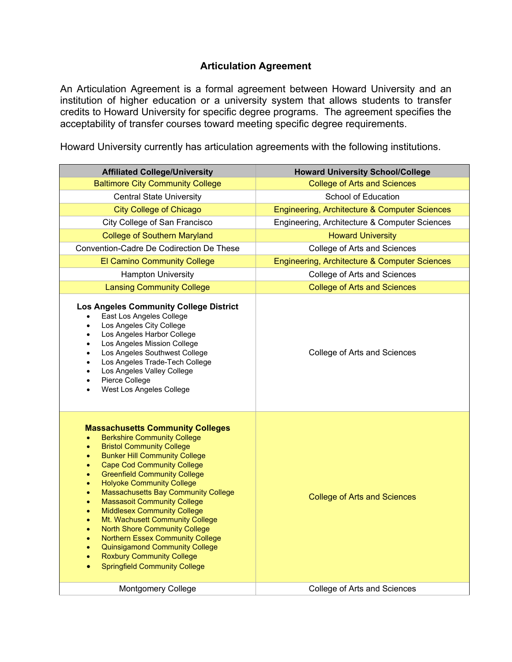## **Articulation Agreement**

An Articulation Agreement is a formal agreement between Howard University and an institution of higher education or a university system that allows students to transfer credits to Howard University for specific degree programs. The agreement specifies the acceptability of transfer courses toward meeting specific degree requirements.

Howard University currently has articulation agreements with the following institutions.

| <b>Affiliated College/University</b>                                                                                                                                                                                                                                                                                                                                                                                                                                                                                                                                                                                                                                                                                                                                                                                                      | <b>Howard University School/College</b>       |
|-------------------------------------------------------------------------------------------------------------------------------------------------------------------------------------------------------------------------------------------------------------------------------------------------------------------------------------------------------------------------------------------------------------------------------------------------------------------------------------------------------------------------------------------------------------------------------------------------------------------------------------------------------------------------------------------------------------------------------------------------------------------------------------------------------------------------------------------|-----------------------------------------------|
| <b>Baltimore City Community College</b>                                                                                                                                                                                                                                                                                                                                                                                                                                                                                                                                                                                                                                                                                                                                                                                                   | <b>College of Arts and Sciences</b>           |
| <b>Central State University</b>                                                                                                                                                                                                                                                                                                                                                                                                                                                                                                                                                                                                                                                                                                                                                                                                           | School of Education                           |
| <b>City College of Chicago</b>                                                                                                                                                                                                                                                                                                                                                                                                                                                                                                                                                                                                                                                                                                                                                                                                            | Engineering, Architecture & Computer Sciences |
| City College of San Francisco                                                                                                                                                                                                                                                                                                                                                                                                                                                                                                                                                                                                                                                                                                                                                                                                             | Engineering, Architecture & Computer Sciences |
| <b>College of Southern Maryland</b>                                                                                                                                                                                                                                                                                                                                                                                                                                                                                                                                                                                                                                                                                                                                                                                                       | <b>Howard University</b>                      |
| Convention-Cadre De Codirection De These                                                                                                                                                                                                                                                                                                                                                                                                                                                                                                                                                                                                                                                                                                                                                                                                  | College of Arts and Sciences                  |
| <b>El Camino Community College</b>                                                                                                                                                                                                                                                                                                                                                                                                                                                                                                                                                                                                                                                                                                                                                                                                        | Engineering, Architecture & Computer Sciences |
| <b>Hampton University</b>                                                                                                                                                                                                                                                                                                                                                                                                                                                                                                                                                                                                                                                                                                                                                                                                                 | College of Arts and Sciences                  |
| <b>Lansing Community College</b>                                                                                                                                                                                                                                                                                                                                                                                                                                                                                                                                                                                                                                                                                                                                                                                                          | <b>College of Arts and Sciences</b>           |
| <b>Los Angeles Community College District</b><br>East Los Angeles College<br>$\bullet$<br>Los Angeles City College<br>Los Angeles Harbor College<br>$\bullet$<br>Los Angeles Mission College<br>٠<br>Los Angeles Southwest College<br>$\bullet$<br>Los Angeles Trade-Tech College<br>$\bullet$<br>Los Angeles Valley College<br>$\bullet$<br>Pierce College<br>$\bullet$<br>West Los Angeles College<br>$\bullet$                                                                                                                                                                                                                                                                                                                                                                                                                         | College of Arts and Sciences                  |
| <b>Massachusetts Community Colleges</b><br><b>Berkshire Community College</b><br>$\bullet$<br><b>Bristol Community College</b><br>$\bullet$<br><b>Bunker Hill Community College</b><br>$\bullet$<br><b>Cape Cod Community College</b><br>$\bullet$<br><b>Greenfield Community College</b><br>$\bullet$<br><b>Holyoke Community College</b><br>$\bullet$<br><b>Massachusetts Bay Community College</b><br>۰<br><b>Massasoit Community College</b><br>$\bullet$<br><b>Middlesex Community College</b><br>$\bullet$<br>Mt. Wachusett Community College<br>$\bullet$<br><b>North Shore Community College</b><br>$\bullet$<br><b>Northern Essex Community College</b><br>$\bullet$<br><b>Quinsigamond Community College</b><br>$\bullet$<br><b>Roxbury Community College</b><br>$\bullet$<br><b>Springfield Community College</b><br>$\bullet$ | <b>College of Arts and Sciences</b>           |
| <b>Montgomery College</b>                                                                                                                                                                                                                                                                                                                                                                                                                                                                                                                                                                                                                                                                                                                                                                                                                 | College of Arts and Sciences                  |